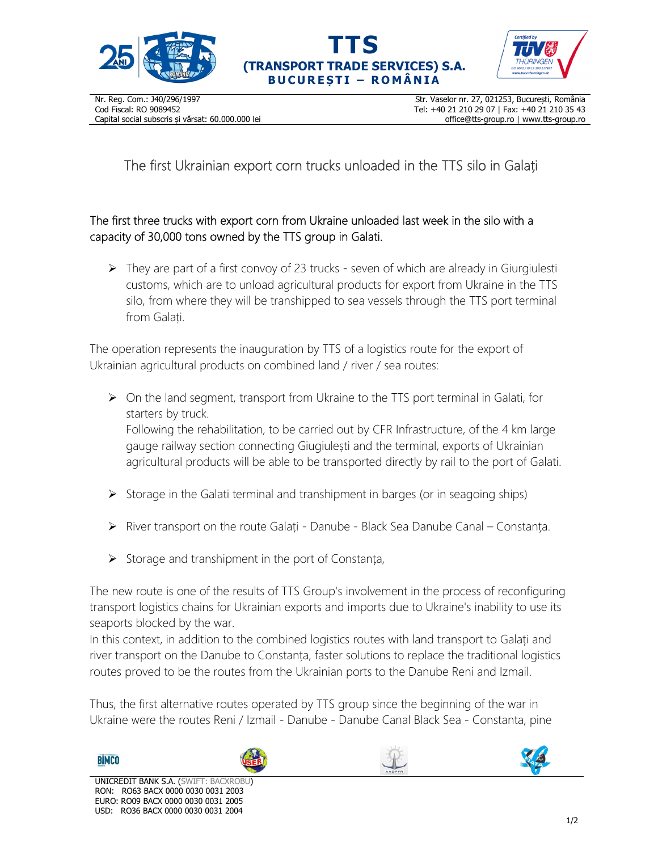





The first Ukrainian export corn trucks unloaded in the TTS silo in Galați

## The first three trucks with export corn from Ukraine unloaded last week in the silo with a capacity of 30,000 tons owned by the TTS group in Galati.

 $\triangleright$  They are part of a first convoy of 23 trucks - seven of which are already in Giurgiulesti customs, which are to unload agricultural products for export from Ukraine in the TTS silo, from where they will be transhipped to sea vessels through the TTS port terminal from Galați.

The operation represents the inauguration by TTS of a logistics route for the export of Ukrainian agricultural products on combined land / river / sea routes:

 $\triangleright$  On the land segment, transport from Ukraine to the TTS port terminal in Galati, for starters by truck.

Following the rehabilitation, to be carried out by CFR Infrastructure, of the 4 km large gauge railway section connecting Giugiulești and the terminal, exports of Ukrainian agricultural products will be able to be transported directly by rail to the port of Galati.

- $\triangleright$  Storage in the Galati terminal and transhipment in barges (or in seagoing ships)
- $\triangleright$  River transport on the route Galați Danube Black Sea Danube Canal Constanța.
- $\triangleright$  Storage and transhipment in the port of Constanța,

The new route is one of the results of TTS Group's involvement in the process of reconfiguring transport logistics chains for Ukrainian exports and imports due to Ukraine's inability to use its seaports blocked by the war.

In this context, in addition to the combined logistics routes with land transport to Galați and river transport on the Danube to Constanța, faster solutions to replace the traditional logistics routes proved to be the routes from the Ukrainian ports to the Danube Reni and Izmail.

Thus, the first alternative routes operated by TTS group since the beginning of the war in Ukraine were the routes Reni / Izmail - Danube - Danube Canal Black Sea - Constanta, pine

**BIMCO**